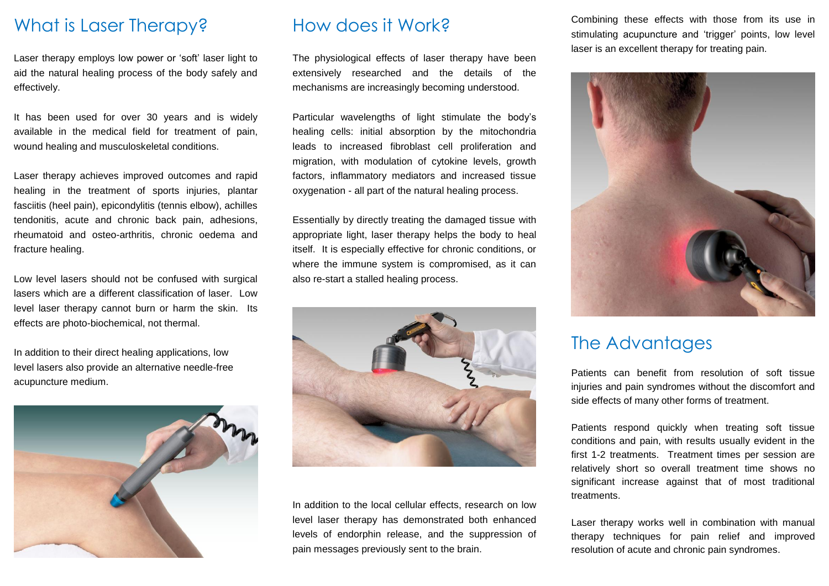#### What is Laser Therapy?

Laser therapy employs low power or 'soft' laser light to aid the natural healing process of the body safely and effectively.

It has been used for over 30 years and is widely available in the medical field for treatment of pain, wound healing and musculoskeletal conditions.

Laser therapy achieves improved outcomes and rapid healing in the treatment of sports injuries, plantar fasciitis (heel pain), epicondylitis (tennis elbow), achilles tendonitis, acute and chronic back pain, adhesions, rheumatoid and osteo-arthritis, chronic oedema and fracture healing.

Low level lasers should not be confused with surgical lasers which are a different classification of laser. Low level laser therapy cannot burn or harm the skin. Its effects are photo-biochemical, not thermal.

In addition to their direct healing applications, low level lasers also provide an alternative needle-free acupuncture medium.



#### How does it Work?

The physiological effects of laser therapy have been extensively researched and the details of the mechanisms are increasingly becoming understood.

Particular wavelengths of light stimulate the body's healing cells: initial absorption by the mitochondria leads to increased fibroblast cell proliferation and migration, with modulation of cytokine levels, growth factors, inflammatory mediators and increased tissue oxygenation - all part of the natural healing process.

Essentially by directly treating the damaged tissue with appropriate light, laser therapy helps the body to heal itself. It is especially effective for chronic conditions, or where the immune system is compromised, as it can also re-start a stalled healing process.



In addition to the local cellular effects, research on low level laser therapy has demonstrated both enhanced levels of endorphin release, and the suppression of pain messages previously sent to the brain.

Combining these effects with those from its use in stimulating acupuncture and 'trigger' points, low level laser is an excellent therapy for treating pain.



#### The Advantages

Patients can benefit from resolution of soft tissue injuries and pain syndromes without the discomfort and side effects of many other forms of treatment.

Patients respond quickly when treating soft tissue conditions and pain, with results usually evident in the first 1-2 treatments. Treatment times per session are relatively short so overall treatment time shows no significant increase against that of most traditional treatments.

Laser therapy works well in combination with manual therapy techniques for pain relief and improved resolution of acute and chronic pain syndromes.